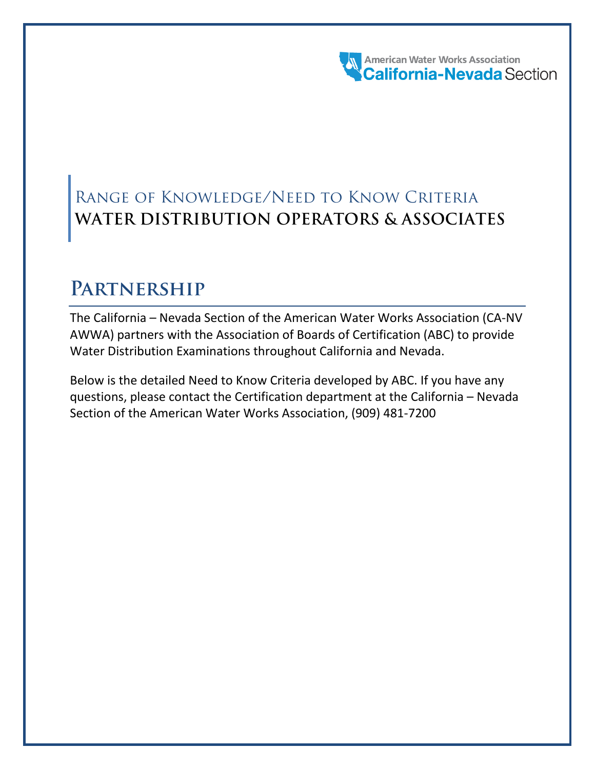American Water Works Association

# Range of Knowledge/Need to Know Criteria **WATER DISTRIBUTION OPERATORS & ASSOCIATES**

# **Partnership**

The California – Nevada Section of the American Water Works Association (CA-NV AWWA) partners with the Association of Boards of Certification (ABC) to provide Water Distribution Examinations throughout California and Nevada.

Below is the detailed Need to Know Criteria developed by ABC. If you have any questions, please contact the Certification department at the California – Nevada Section of the American Water Works Association, (909) 481-7200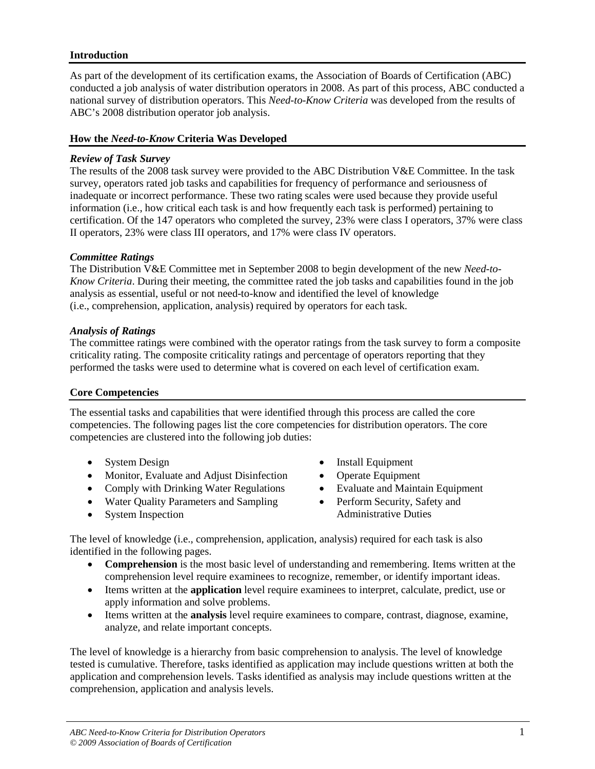# **Introduction**

As part of the development of its certification exams, the Association of Boards of Certification (ABC) conducted a job analysis of water distribution operators in 2008. As part of this process, ABC conducted a national survey of distribution operators. This *Need-to-Know Criteria* was developed from the results of ABC's 2008 distribution operator job analysis.

# **How the** *Need-to-Know* **Criteria Was Developed**

# *Review of Task Survey*

The results of the 2008 task survey were provided to the ABC Distribution V&E Committee. In the task survey, operators rated job tasks and capabilities for frequency of performance and seriousness of inadequate or incorrect performance. These two rating scales were used because they provide useful information (i.e., how critical each task is and how frequently each task is performed) pertaining to certification. Of the 147 operators who completed the survey, 23% were class I operators, 37% were class II operators, 23% were class III operators, and 17% were class IV operators.

# *Committee Ratings*

The Distribution V&E Committee met in September 2008 to begin development of the new *Need-to-Know Criteria*. During their meeting, the committee rated the job tasks and capabilities found in the job analysis as essential, useful or not need-to-know and identified the level of knowledge (i.e., comprehension, application, analysis) required by operators for each task.

# *Analysis of Ratings*

The committee ratings were combined with the operator ratings from the task survey to form a composite criticality rating. The composite criticality ratings and percentage of operators reporting that they performed the tasks were used to determine what is covered on each level of certification exam.

# **Core Competencies**

The essential tasks and capabilities that were identified through this process are called the core competencies. The following pages list the core competencies for distribution operators. The core competencies are clustered into the following job duties:

- System Design
- Monitor, Evaluate and Adjust Disinfection
- Comply with Drinking Water Regulations
- Water Quality Parameters and Sampling
- System Inspection
- Install Equipment
- Operate Equipment
- Evaluate and Maintain Equipment
- Perform Security, Safety and Administrative Duties

The level of knowledge (i.e., comprehension, application, analysis) required for each task is also identified in the following pages.

- **Comprehension** is the most basic level of understanding and remembering. Items written at the comprehension level require examinees to recognize, remember, or identify important ideas.
- Items written at the **application** level require examinees to interpret, calculate, predict, use or apply information and solve problems.
- Items written at the **analysis** level require examinees to compare, contrast, diagnose, examine, analyze, and relate important concepts.

The level of knowledge is a hierarchy from basic comprehension to analysis. The level of knowledge tested is cumulative. Therefore, tasks identified as application may include questions written at both the application and comprehension levels. Tasks identified as analysis may include questions written at the comprehension, application and analysis levels.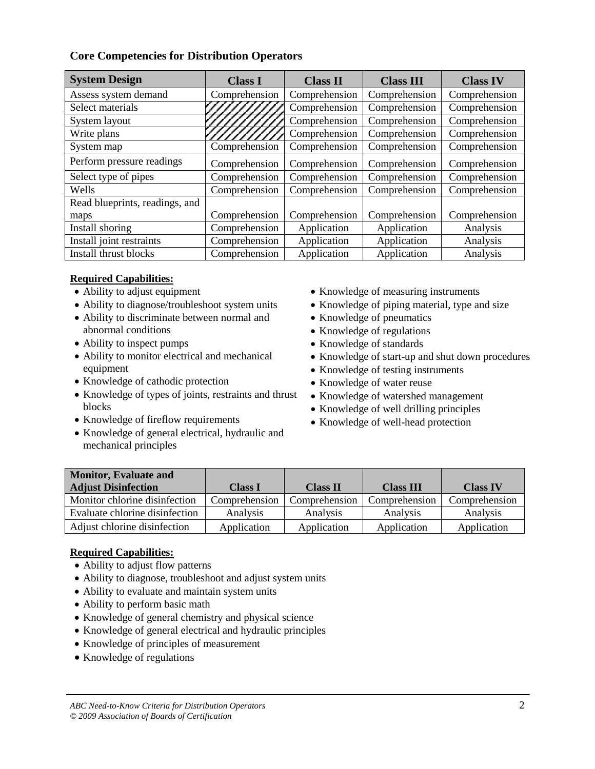# **Core Competencies for Distribution Operators**

| <b>System Design</b>           | <b>Class I</b> | <b>Class II</b> | <b>Class III</b> | <b>Class IV</b> |
|--------------------------------|----------------|-----------------|------------------|-----------------|
| Assess system demand           | Comprehension  | Comprehension   | Comprehension    | Comprehension   |
| Select materials               |                | Comprehension   | Comprehension    | Comprehension   |
| System layout                  |                | Comprehension   | Comprehension    | Comprehension   |
| Write plans                    |                | Comprehension   | Comprehension    | Comprehension   |
| System map                     | Comprehension  | Comprehension   | Comprehension    | Comprehension   |
| Perform pressure readings      | Comprehension  | Comprehension   | Comprehension    | Comprehension   |
| Select type of pipes           | Comprehension  | Comprehension   | Comprehension    | Comprehension   |
| Wells                          | Comprehension  | Comprehension   | Comprehension    | Comprehension   |
| Read blueprints, readings, and |                |                 |                  |                 |
| maps                           | Comprehension  | Comprehension   | Comprehension    | Comprehension   |
| Install shoring                | Comprehension  | Application     | Application      | Analysis        |
| Install joint restraints       | Comprehension  | Application     | Application      | Analysis        |
| Install thrust blocks          | Comprehension  | Application     | Application      | Analysis        |

# **Required Capabilities:**

- Ability to adjust equipment
- Ability to diagnose/troubleshoot system units
- Ability to discriminate between normal and abnormal conditions
- Ability to inspect pumps
- Ability to monitor electrical and mechanical equipment
- Knowledge of cathodic protection
- Knowledge of types of joints, restraints and thrust blocks
- Knowledge of fireflow requirements
- Knowledge of general electrical, hydraulic and mechanical principles
- Knowledge of measuring instruments
- Knowledge of piping material, type and size
- Knowledge of pneumatics
- Knowledge of regulations
- Knowledge of standards
- Knowledge of start-up and shut down procedures
- Knowledge of testing instruments
- Knowledge of water reuse
- Knowledge of watershed management
- Knowledge of well drilling principles
- Knowledge of well-head protection

| <b>Monitor, Evaluate and</b>   |                |                 |                  |                 |
|--------------------------------|----------------|-----------------|------------------|-----------------|
| <b>Adjust Disinfection</b>     | <b>Class I</b> | <b>Class II</b> | <b>Class III</b> | <b>Class IV</b> |
| Monitor chlorine disinfection  | Comprehension  | Comprehension   | Comprehension    | Comprehension   |
| Evaluate chlorine disinfection | Analysis       | Analysis        | Analysis         | Analysis        |
| Adjust chlorine disinfection   | Application    | Application     | Application      | Application     |

- Ability to adjust flow patterns
- Ability to diagnose, troubleshoot and adjust system units
- Ability to evaluate and maintain system units
- Ability to perform basic math
- Knowledge of general chemistry and physical science
- Knowledge of general electrical and hydraulic principles
- Knowledge of principles of measurement
- Knowledge of regulations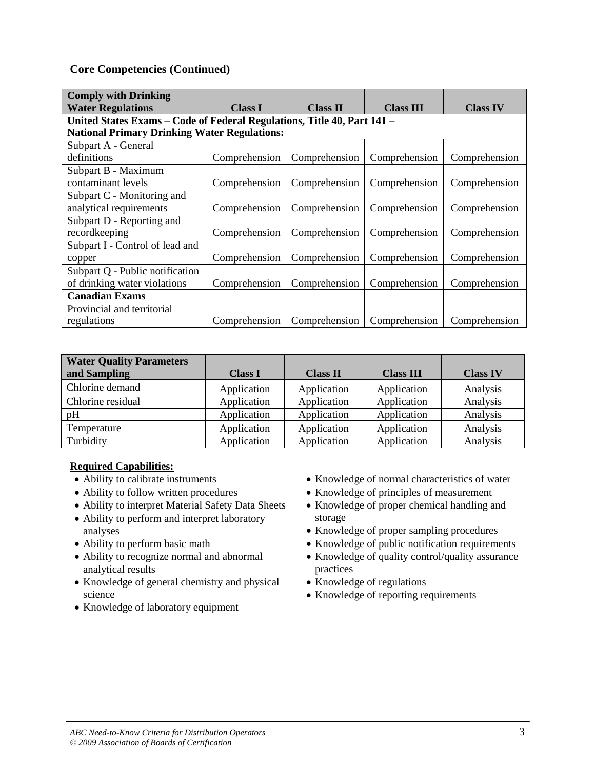| <b>Comply with Drinking</b>                                             |                |                 |                  |                 |  |
|-------------------------------------------------------------------------|----------------|-----------------|------------------|-----------------|--|
| <b>Water Regulations</b>                                                | <b>Class I</b> | <b>Class II</b> | <b>Class III</b> | <b>Class IV</b> |  |
| United States Exams – Code of Federal Regulations, Title 40, Part 141 – |                |                 |                  |                 |  |
| <b>National Primary Drinking Water Regulations:</b>                     |                |                 |                  |                 |  |
| Subpart A - General                                                     |                |                 |                  |                 |  |
| definitions                                                             | Comprehension  | Comprehension   | Comprehension    | Comprehension   |  |
| Subpart B - Maximum                                                     |                |                 |                  |                 |  |
| contaminant levels                                                      | Comprehension  | Comprehension   | Comprehension    | Comprehension   |  |
| Subpart C - Monitoring and                                              |                |                 |                  |                 |  |
| analytical requirements                                                 | Comprehension  | Comprehension   | Comprehension    | Comprehension   |  |
| Subpart D - Reporting and                                               |                |                 |                  |                 |  |
| recordkeeping                                                           | Comprehension  | Comprehension   | Comprehension    | Comprehension   |  |
| Subpart I - Control of lead and                                         |                |                 |                  |                 |  |
| copper                                                                  | Comprehension  | Comprehension   | Comprehension    | Comprehension   |  |
| Subpart Q - Public notification                                         |                |                 |                  |                 |  |
| of drinking water violations                                            | Comprehension  | Comprehension   | Comprehension    | Comprehension   |  |
| <b>Canadian Exams</b>                                                   |                |                 |                  |                 |  |
| Provincial and territorial                                              |                |                 |                  |                 |  |
| regulations                                                             | Comprehension  | Comprehension   | Comprehension    | Comprehension   |  |

| <b>Water Quality Parameters</b> |                |                 |                  |                 |
|---------------------------------|----------------|-----------------|------------------|-----------------|
| and Sampling                    | <b>Class I</b> | <b>Class II</b> | <b>Class III</b> | <b>Class IV</b> |
| Chlorine demand                 | Application    | Application     | Application      | Analysis        |
| Chlorine residual               | Application    | Application     | Application      | Analysis        |
| pH                              | Application    | Application     | Application      | Analysis        |
| Temperature                     | Application    | Application     | Application      | Analysis        |
| Turbidity                       | Application    | Application     | Application      | Analysis        |

- Ability to calibrate instruments
- Ability to follow written procedures
- Ability to interpret Material Safety Data Sheets
- Ability to perform and interpret laboratory analyses
- Ability to perform basic math
- Ability to recognize normal and abnormal analytical results
- Knowledge of general chemistry and physical science
- Knowledge of laboratory equipment
- Knowledge of normal characteristics of water
- Knowledge of principles of measurement
- Knowledge of proper chemical handling and storage
- Knowledge of proper sampling procedures
- Knowledge of public notification requirements
- Knowledge of quality control/quality assurance practices
- Knowledge of regulations
- Knowledge of reporting requirements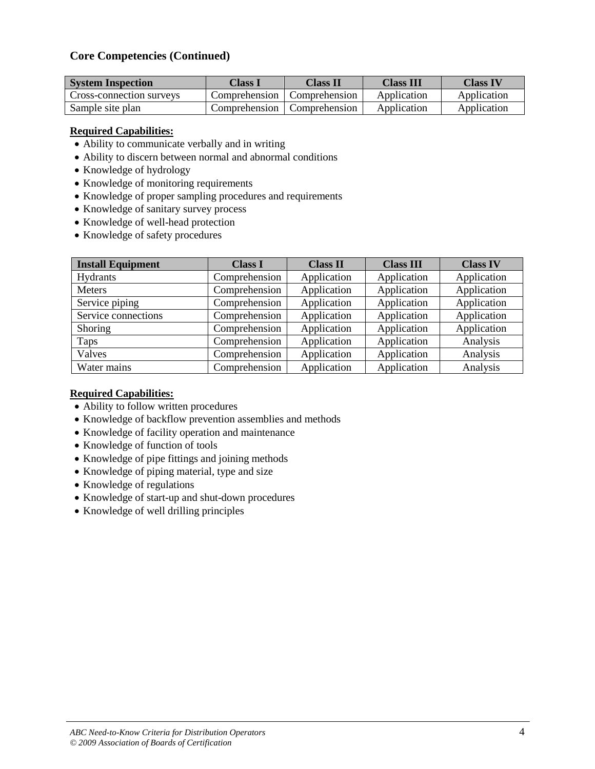| <b>System Inspection</b> | Class I       | Class II      | <b>Class III</b> | Class IV    |
|--------------------------|---------------|---------------|------------------|-------------|
| Cross-connection surveys | Comprehension | Comprehension | Application      | Application |
| Sample site plan         | Comprehension | Comprehension | Application      | Application |

# **Required Capabilities:**

- Ability to communicate verbally and in writing
- Ability to discern between normal and abnormal conditions
- Knowledge of hydrology
- Knowledge of monitoring requirements
- Knowledge of proper sampling procedures and requirements
- Knowledge of sanitary survey process
- Knowledge of well-head protection
- Knowledge of safety procedures

| <b>Install Equipment</b> | <b>Class I</b> | <b>Class II</b> | <b>Class III</b> | <b>Class IV</b> |  |
|--------------------------|----------------|-----------------|------------------|-----------------|--|
| Hydrants                 | Comprehension  | Application     | Application      | Application     |  |
| <b>Meters</b>            | Comprehension  | Application     | Application      | Application     |  |
| Service piping           | Comprehension  | Application     | Application      | Application     |  |
| Service connections      | Comprehension  | Application     | Application      | Application     |  |
| Shoring                  | Comprehension  | Application     | Application      | Application     |  |
| Taps                     | Comprehension  | Application     | Application      | Analysis        |  |
| Valves                   | Comprehension  | Application     | Application      | Analysis        |  |
| Water mains              | Comprehension  | Application     | Application      | Analysis        |  |

- Ability to follow written procedures
- Knowledge of backflow prevention assemblies and methods
- Knowledge of facility operation and maintenance
- Knowledge of function of tools
- Knowledge of pipe fittings and joining methods
- Knowledge of piping material, type and size
- Knowledge of regulations
- Knowledge of start-up and shut-down procedures
- Knowledge of well drilling principles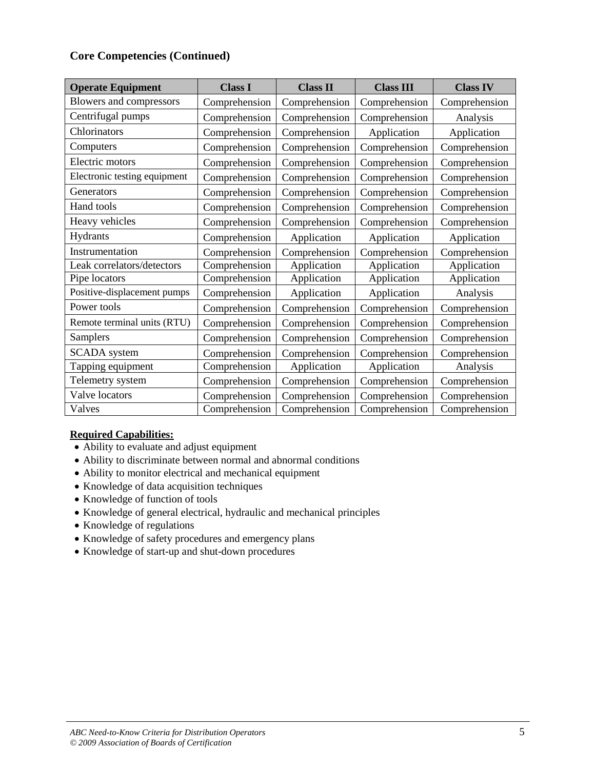| <b>Operate Equipment</b>     | <b>Class I</b> | <b>Class II</b> | <b>Class III</b> | <b>Class IV</b> |
|------------------------------|----------------|-----------------|------------------|-----------------|
| Blowers and compressors      | Comprehension  | Comprehension   | Comprehension    | Comprehension   |
| Centrifugal pumps            | Comprehension  | Comprehension   | Comprehension    | Analysis        |
| Chlorinators                 | Comprehension  | Comprehension   | Application      | Application     |
| Computers                    | Comprehension  | Comprehension   | Comprehension    | Comprehension   |
| Electric motors              | Comprehension  | Comprehension   | Comprehension    | Comprehension   |
| Electronic testing equipment | Comprehension  | Comprehension   | Comprehension    | Comprehension   |
| Generators                   | Comprehension  | Comprehension   | Comprehension    | Comprehension   |
| Hand tools                   | Comprehension  | Comprehension   | Comprehension    | Comprehension   |
| Heavy vehicles               | Comprehension  | Comprehension   | Comprehension    | Comprehension   |
| Hydrants                     | Comprehension  | Application     | Application      | Application     |
| Instrumentation              | Comprehension  | Comprehension   | Comprehension    | Comprehension   |
| Leak correlators/detectors   | Comprehension  | Application     | Application      | Application     |
| Pipe locators                | Comprehension  | Application     | Application      | Application     |
| Positive-displacement pumps  | Comprehension  | Application     | Application      | Analysis        |
| Power tools                  | Comprehension  | Comprehension   | Comprehension    | Comprehension   |
| Remote terminal units (RTU)  | Comprehension  | Comprehension   | Comprehension    | Comprehension   |
| Samplers                     | Comprehension  | Comprehension   | Comprehension    | Comprehension   |
| <b>SCADA</b> system          | Comprehension  | Comprehension   | Comprehension    | Comprehension   |
| Tapping equipment            | Comprehension  | Application     | Application      | Analysis        |
| Telemetry system             | Comprehension  | Comprehension   | Comprehension    | Comprehension   |
| Valve locators               | Comprehension  | Comprehension   | Comprehension    | Comprehension   |
| Valves                       | Comprehension  | Comprehension   | Comprehension    | Comprehension   |

- Ability to evaluate and adjust equipment
- Ability to discriminate between normal and abnormal conditions
- Ability to monitor electrical and mechanical equipment
- Knowledge of data acquisition techniques
- Knowledge of function of tools
- Knowledge of general electrical, hydraulic and mechanical principles
- Knowledge of regulations
- Knowledge of safety procedures and emergency plans
- Knowledge of start-up and shut-down procedures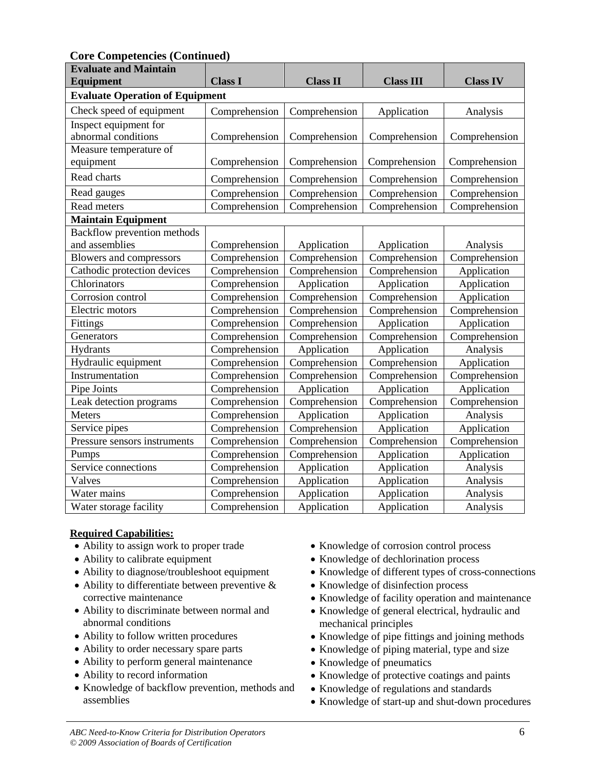**Core Competencies (Continued)**

| <b>Evaluate and Maintain</b>           |                                |                 |                  |                 |
|----------------------------------------|--------------------------------|-----------------|------------------|-----------------|
| <b>Equipment</b>                       | <b>Class I</b>                 | <b>Class II</b> | <b>Class III</b> | <b>Class IV</b> |
| <b>Evaluate Operation of Equipment</b> |                                |                 |                  |                 |
| Check speed of equipment               | Comprehension                  | Comprehension   | Application      | Analysis        |
| Inspect equipment for                  |                                |                 |                  |                 |
| abnormal conditions                    | Comprehension<br>Comprehension |                 | Comprehension    | Comprehension   |
| Measure temperature of                 |                                |                 |                  |                 |
| equipment                              | Comprehension                  | Comprehension   | Comprehension    | Comprehension   |
| Read charts                            | Comprehension                  | Comprehension   | Comprehension    | Comprehension   |
| Read gauges                            | Comprehension                  | Comprehension   | Comprehension    | Comprehension   |
| Read meters                            | Comprehension                  | Comprehension   | Comprehension    | Comprehension   |
| <b>Maintain Equipment</b>              |                                |                 |                  |                 |
| Backflow prevention methods            |                                |                 |                  |                 |
| and assemblies                         | Comprehension                  | Application     | Application      | Analysis        |
| Blowers and compressors                | Comprehension                  | Comprehension   | Comprehension    | Comprehension   |
| Cathodic protection devices            | Comprehension                  | Comprehension   | Comprehension    | Application     |
| Chlorinators                           | Comprehension                  | Application     | Application      | Application     |
| Corrosion control                      | Comprehension                  | Comprehension   | Comprehension    | Application     |
| Electric motors                        | Comprehension                  | Comprehension   | Comprehension    | Comprehension   |
| Fittings                               | Comprehension                  | Comprehension   | Application      | Application     |
| Generators                             | Comprehension                  | Comprehension   | Comprehension    | Comprehension   |
| Hydrants                               | Comprehension                  | Application     | Application      | Analysis        |
| Hydraulic equipment                    | Comprehension                  | Comprehension   | Comprehension    | Application     |
| Instrumentation                        | Comprehension                  | Comprehension   | Comprehension    | Comprehension   |
| Pipe Joints                            | Comprehension                  | Application     | Application      | Application     |
| Leak detection programs                | Comprehension                  | Comprehension   | Comprehension    | Comprehension   |
| Meters                                 | Comprehension                  | Application     | Application      | Analysis        |
| Service pipes                          | Comprehension                  | Comprehension   | Application      | Application     |
| Pressure sensors instruments           | Comprehension                  | Comprehension   | Comprehension    | Comprehension   |
| Pumps                                  | Comprehension                  | Comprehension   | Application      | Application     |
| Service connections                    | Comprehension                  | Application     | Application      | Analysis        |
| Valves                                 | Comprehension                  | Application     | Application      | Analysis        |
| Water mains                            | Comprehension                  | Application     | Application      | Analysis        |
| Water storage facility                 | Comprehension                  | Application     | Application      | Analysis        |

- Ability to assign work to proper trade
- Ability to calibrate equipment
- Ability to diagnose/troubleshoot equipment
- Ability to differentiate between preventive  $\&$ corrective maintenance
- Ability to discriminate between normal and abnormal conditions
- Ability to follow written procedures
- Ability to order necessary spare parts
- Ability to perform general maintenance
- Ability to record information
- Knowledge of backflow prevention, methods and assemblies
- Knowledge of corrosion control process
- Knowledge of dechlorination process
- Knowledge of different types of cross-connections
- Knowledge of disinfection process
- Knowledge of facility operation and maintenance
- Knowledge of general electrical, hydraulic and mechanical principles
- Knowledge of pipe fittings and joining methods
- Knowledge of piping material, type and size
- Knowledge of pneumatics
- Knowledge of protective coatings and paints
- Knowledge of regulations and standards
- Knowledge of start-up and shut-down procedures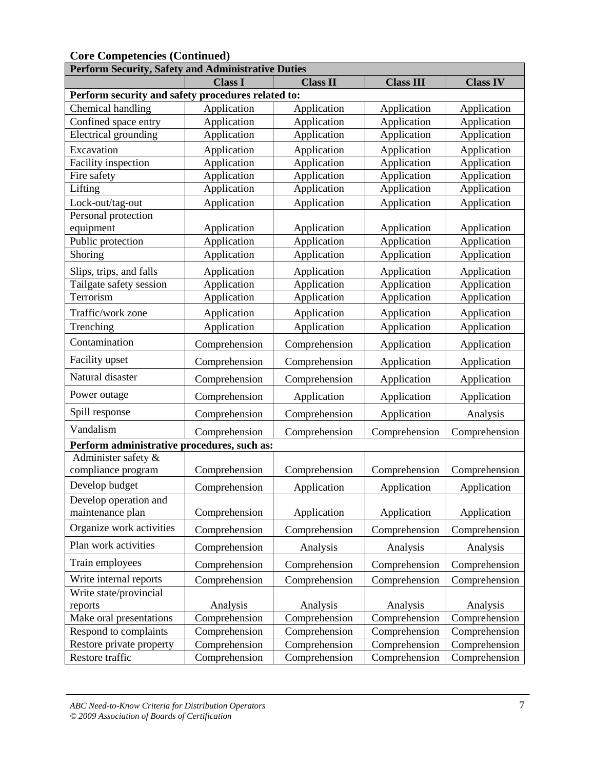| <b>Perform Security, Safety and Administrative Duties</b> |                |                              |                  |                 |
|-----------------------------------------------------------|----------------|------------------------------|------------------|-----------------|
|                                                           | <b>Class I</b> | <b>Class II</b>              | <b>Class III</b> | <b>Class IV</b> |
| Perform security and safety procedures related to:        |                |                              |                  |                 |
| Chemical handling                                         | Application    | Application                  | Application      | Application     |
| Confined space entry                                      | Application    | Application                  | Application      | Application     |
| <b>Electrical</b> grounding                               | Application    | Application                  | Application      | Application     |
| Excavation                                                | Application    | Application                  | Application      | Application     |
| Facility inspection                                       | Application    | Application                  | Application      | Application     |
| Fire safety                                               | Application    | Application                  | Application      | Application     |
| Lifting                                                   | Application    | Application                  | Application      | Application     |
| Lock-out/tag-out                                          | Application    | Application                  | Application      | Application     |
| Personal protection                                       |                |                              |                  |                 |
| equipment                                                 | Application    | Application                  | Application      | Application     |
| Public protection                                         | Application    | Application                  | Application      | Application     |
| Shoring                                                   | Application    | Application                  | Application      | Application     |
| Slips, trips, and falls                                   | Application    | Application                  | Application      | Application     |
| Tailgate safety session                                   | Application    | Application                  | Application      | Application     |
| Terrorism                                                 | Application    | Application                  | Application      | Application     |
| Traffic/work zone                                         | Application    | Application                  | Application      | Application     |
| Trenching                                                 | Application    | Application                  | Application      | Application     |
| Contamination                                             | Comprehension  | Comprehension<br>Application |                  | Application     |
| Facility upset                                            | Comprehension  | Comprehension                | Application      | Application     |
| Natural disaster                                          | Comprehension  | Comprehension                | Application      | Application     |
| Power outage                                              | Comprehension  | Application                  | Application      | Application     |
| Spill response                                            | Comprehension  | Comprehension                | Application      | Analysis        |
| Vandalism                                                 | Comprehension  | Comprehension                | Comprehension    | Comprehension   |
| Perform administrative procedures, such as:               |                |                              |                  |                 |
| Administer safety &<br>compliance program                 | Comprehension  | Comprehension                | Comprehension    | Comprehension   |
| Develop budget                                            |                |                              |                  |                 |
| Develop operation and                                     | Comprehension  | Application                  | Application      | Application     |
| maintenance plan                                          | Comprehension  | Application                  | Application      | Application     |
| Organize work activities                                  | Comprehension  | Comprehension                | Comprehension    | Comprehension   |
| Plan work activities                                      | Comprehension  | Analysis                     | Analysis         | Analysis        |
| Train employees                                           | Comprehension  | Comprehension                | Comprehension    | Comprehension   |
| Write internal reports                                    | Comprehension  | Comprehension                | Comprehension    | Comprehension   |
| Write state/provincial                                    |                |                              |                  |                 |
| reports                                                   | Analysis       | Analysis                     | Analysis         | Analysis        |
| Make oral presentations                                   | Comprehension  | Comprehension                | Comprehension    | Comprehension   |
| Respond to complaints                                     | Comprehension  | Comprehension                | Comprehension    | Comprehension   |
| Restore private property                                  | Comprehension  | Comprehension                | Comprehension    | Comprehension   |
| Restore traffic                                           | Comprehension  | Comprehension                | Comprehension    | Comprehension   |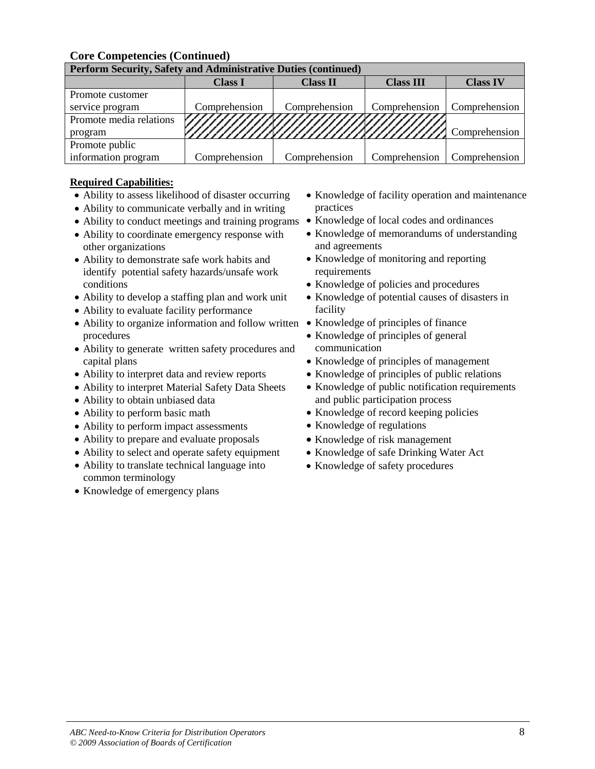| <b>Perform Security, Safety and Administrative Duties (continued)</b> |                |                 |                  |                 |
|-----------------------------------------------------------------------|----------------|-----------------|------------------|-----------------|
|                                                                       | <b>Class I</b> | <b>Class II</b> | <b>Class III</b> | <b>Class IV</b> |
| Promote customer                                                      |                |                 |                  |                 |
| service program                                                       | Comprehension  | Comprehension   | Comprehension    | Comprehension   |
| Promote media relations                                               |                |                 |                  |                 |
| program                                                               |                |                 |                  |                 |
| Promote public                                                        |                |                 |                  |                 |
| information program                                                   | Comprehension  | Comprehension   | Comprehension    | Comprehension   |

- Ability to assess likelihood of disaster occurring
- Ability to communicate verbally and in writing
- Ability to conduct meetings and training programs
- Ability to coordinate emergency response with other organizations
- Ability to demonstrate safe work habits and identify potential safety hazards/unsafe work conditions
- Ability to develop a staffing plan and work unit
- Ability to evaluate facility performance
- Ability to organize information and follow written Knowledge of principles of finance procedures
- Ability to generate written safety procedures and capital plans
- Ability to interpret data and review reports
- Ability to interpret Material Safety Data Sheets
- Ability to obtain unbiased data
- Ability to perform basic math
- Ability to perform impact assessments
- Ability to prepare and evaluate proposals
- Ability to select and operate safety equipment
- Ability to translate technical language into common terminology
- Knowledge of emergency plans
- Knowledge of facility operation and maintenance practices
- Knowledge of local codes and ordinances
- Knowledge of memorandums of understanding and agreements
- Knowledge of monitoring and reporting requirements
- Knowledge of policies and procedures
- Knowledge of potential causes of disasters in facility
- 
- Knowledge of principles of general communication
- Knowledge of principles of management
- Knowledge of principles of public relations
- Knowledge of public notification requirements and public participation process
- Knowledge of record keeping policies
- Knowledge of regulations
- Knowledge of risk management
- Knowledge of safe Drinking Water Act
- Knowledge of safety procedures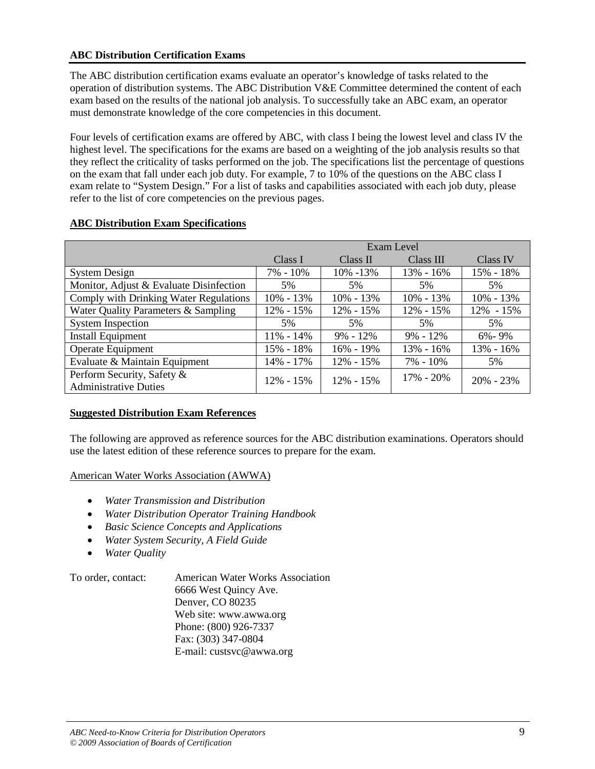# **ABC Distribution Certification Exams**

The ABC distribution certification exams evaluate an operator's knowledge of tasks related to the operation of distribution systems. The ABC Distribution V&E Committee determined the content of each exam based on the results of the national job analysis. To successfully take an ABC exam, an operator must demonstrate knowledge of the core competencies in this document.

Four levels of certification exams are offered by ABC, with class I being the lowest level and class IV the highest level. The specifications for the exams are based on a weighting of the job analysis results so that they reflect the criticality of tasks performed on the job. The specifications list the percentage of questions on the exam that fall under each job duty. For example, 7 to 10% of the questions on the ABC class I exam relate to "System Design." For a list of tasks and capabilities associated with each job duty, please refer to the list of core competencies on the previous pages.

|                                                            |               |               | Exam Level    |               |
|------------------------------------------------------------|---------------|---------------|---------------|---------------|
|                                                            | Class I       | Class II      | Class III     | Class IV      |
| <b>System Design</b>                                       | 7% - 10%      | 10% -13%      | 13% - 16%     | 15% - 18%     |
| Monitor, Adjust & Evaluate Disinfection                    | 5%            | 5%            | 5%            | 5%            |
| Comply with Drinking Water Regulations                     | 10% - 13%     | $10\% - 13\%$ | $10\% - 13\%$ | $10\% - 13\%$ |
| Water Quality Parameters & Sampling                        | 12% - 15%     | 12% - 15%     | 12% - 15%     | 12% - 15%     |
| <b>System Inspection</b>                                   | 5%            | 5%            | 5%            | 5%            |
| <b>Install Equipment</b>                                   | $11\% - 14\%$ | $9\% - 12\%$  | $9\% - 12\%$  | $6\% - 9\%$   |
| Operate Equipment                                          | 15% - 18%     | 16% - 19%     | 13% - 16%     | 13% - 16%     |
| Evaluate & Maintain Equipment                              | 14% - 17%     | $12\% - 15\%$ | $7\% - 10\%$  | 5%            |
| Perform Security, Safety &<br><b>Administrative Duties</b> | $12\% - 15\%$ | $12\% - 15\%$ | $17\% - 20\%$ | $20\% - 23\%$ |

# **ABC Distribution Exam Specifications**

# **Suggested Distribution Exam References**

The following are approved as reference sources for the ABC distribution examinations. Operators should use the latest edition of these reference sources to prepare for the exam.

# American Water Works Association (AWWA)

- *Water Transmission and Distribution*
- *Water Distribution Operator Training Handbook*
- *Basic Science Concepts and Applications*
- *Water System Security, A Field Guide*
- *Water Quality*

To order, contact: American Water Works Association 6666 West Quincy Ave. Denver, CO 80235 Web site: www.awwa.org Phone: (800) 926-7337 Fax: (303) 347-0804 E-mail: custsvc@awwa.org